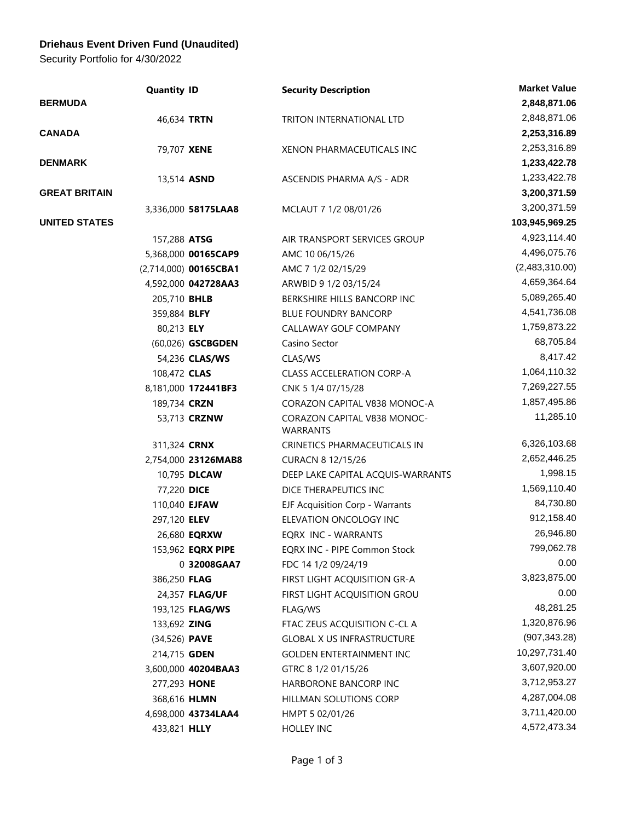## **Driehaus Event Driven Fund (Unaudited)**

Security Portfolio for 4/30/2022

|                      | <b>Quantity ID</b>    | <b>Security Description</b>                    | <b>Market Value</b> |
|----------------------|-----------------------|------------------------------------------------|---------------------|
| <b>BERMUDA</b>       |                       |                                                | 2,848,871.06        |
|                      | 46,634 TRTN           | TRITON INTERNATIONAL LTD                       | 2,848,871.06        |
| <b>CANADA</b>        |                       |                                                | 2,253,316.89        |
|                      | 79,707 XENE           | XENON PHARMACEUTICALS INC                      | 2,253,316.89        |
| <b>DENMARK</b>       |                       |                                                | 1,233,422.78        |
|                      | 13,514 ASND           | ASCENDIS PHARMA A/S - ADR                      | 1,233,422.78        |
| <b>GREAT BRITAIN</b> |                       |                                                | 3,200,371.59        |
|                      | 3,336,000 58175LAA8   | MCLAUT 7 1/2 08/01/26                          | 3,200,371.59        |
| <b>UNITED STATES</b> |                       |                                                | 103,945,969.25      |
|                      | 157,288 ATSG          | AIR TRANSPORT SERVICES GROUP                   | 4,923,114.40        |
|                      | 5,368,000 00165CAP9   | AMC 10 06/15/26                                | 4,496,075.76        |
|                      | (2,714,000) 00165CBA1 | AMC 7 1/2 02/15/29                             | (2,483,310.00)      |
|                      | 4,592,000 042728AA3   | ARWBID 9 1/2 03/15/24                          | 4,659,364.64        |
|                      | 205,710 BHLB          | BERKSHIRE HILLS BANCORP INC                    | 5,089,265.40        |
|                      | 359,884 BLFY          | <b>BLUE FOUNDRY BANCORP</b>                    | 4,541,736.08        |
|                      | 80,213 ELY            | CALLAWAY GOLF COMPANY                          | 1,759,873.22        |
|                      | (60,026) GSCBGDEN     | Casino Sector                                  | 68,705.84           |
|                      | 54,236 CLAS/WS        | CLAS/WS                                        | 8,417.42            |
|                      | 108,472 CLAS          | <b>CLASS ACCELERATION CORP-A</b>               | 1,064,110.32        |
|                      | 8,181,000 172441BF3   | CNK 5 1/4 07/15/28                             | 7,269,227.55        |
|                      | 189,734 CRZN          | CORAZON CAPITAL V838 MONOC-A                   | 1,857,495.86        |
|                      | 53,713 <b>CRZNW</b>   | CORAZON CAPITAL V838 MONOC-<br><b>WARRANTS</b> | 11,285.10           |
|                      | 311,324 <b>CRNX</b>   | CRINETICS PHARMACEUTICALS IN                   | 6,326,103.68        |
|                      | 2,754,000 23126MAB8   | CURACN 8 12/15/26                              | 2,652,446.25        |
|                      | 10,795 DLCAW          | DEEP LAKE CAPITAL ACQUIS-WARRANTS              | 1,998.15            |
|                      | 77,220 DICE           | DICE THERAPEUTICS INC                          | 1,569,110.40        |
|                      | 110,040 <b>EJFAW</b>  | EJF Acquisition Corp - Warrants                | 84,730.80           |
|                      | 297,120 ELEV          | ELEVATION ONCOLOGY INC                         | 912,158.40          |
|                      | 26,680 <b>EQRXW</b>   | EQRX INC - WARRANTS                            | 26,946.80           |
|                      | 153,962 EQRX PIPE     | EQRX INC - PIPE Common Stock                   | 799,062.78          |
|                      | 0 32008GAA7           | FDC 14 1/2 09/24/19                            | 0.00                |
|                      | 386,250 FLAG          | FIRST LIGHT ACQUISITION GR-A                   | 3,823,875.00        |
|                      | 24,357 FLAG/UF        | FIRST LIGHT ACQUISITION GROU                   | 0.00                |
|                      | 193,125 FLAG/WS       | FLAG/WS                                        | 48,281.25           |
|                      | 133,692 ZING          | FTAC ZEUS ACQUISITION C-CL A                   | 1,320,876.96        |
|                      | (34,526) <b>PAVE</b>  | <b>GLOBAL X US INFRASTRUCTURE</b>              | (907, 343.28)       |
|                      | 214,715 <b>GDEN</b>   | <b>GOLDEN ENTERTAINMENT INC</b>                | 10,297,731.40       |
|                      | 3,600,000 40204BAA3   | GTRC 8 1/2 01/15/26                            | 3,607,920.00        |
|                      | 277,293 HONE          | HARBORONE BANCORP INC                          | 3,712,953.27        |
|                      | 368,616 HLMN          | <b>HILLMAN SOLUTIONS CORP</b>                  | 4,287,004.08        |
|                      | 4,698,000 43734LAA4   | HMPT 5 02/01/26                                | 3,711,420.00        |
|                      | 433,821 HLLY          | <b>HOLLEY INC</b>                              | 4,572,473.34        |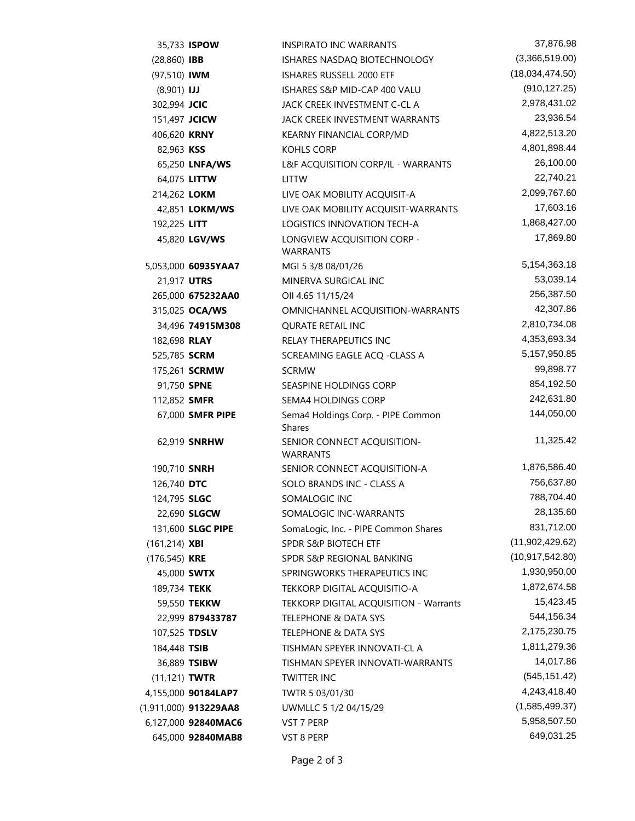|                     | 35,733 ISPOW          | INSPIRATO INC WARRANTS                              | 37,876.98         |
|---------------------|-----------------------|-----------------------------------------------------|-------------------|
| $(28,860)$ IBB      |                       | ISHARES NASDAQ BIOTECHNOLOGY                        | (3,366,519.00)    |
| (97,510) IWM        |                       | ISHARES RUSSELL 2000 ETF                            | (18,034,474.50)   |
| $(8,901)$ IJJ       |                       | ISHARES S&P MID-CAP 400 VALU                        | (910, 127.25)     |
| 302,994 JCIC        |                       | JACK CREEK INVESTMENT C-CL A                        | 2,978,431.02      |
| 151,497 JCICW       |                       | JACK CREEK INVESTMENT WARRANTS                      | 23,936.54         |
| 406,620 KRNY        |                       | KEARNY FINANCIAL CORP/MD                            | 4,822,513.20      |
| 82,963 KSS          |                       | KOHLS CORP                                          | 4,801,898.44      |
|                     | 65,250 LNFA/WS        | L&F ACQUISITION CORP/IL - WARRANTS                  | 26,100.00         |
|                     | 64,075 LITTW          | <b>LITTW</b>                                        | 22,740.21         |
| 214,262 LOKM        |                       | LIVE OAK MOBILITY ACQUISIT-A                        | 2,099,767.60      |
|                     | 42,851 LOKM/WS        | LIVE OAK MOBILITY ACQUISIT-WARRANTS                 | 17,603.16         |
| 192,225 LITT        |                       | LOGISTICS INNOVATION TECH-A                         | 1,868,427.00      |
|                     | 45,820 LGV/WS         | LONGVIEW ACQUISITION CORP -<br><b>WARRANTS</b>      | 17,869.80         |
|                     | 5,053,000 60935YAA7   | MGI 5 3/8 08/01/26                                  | 5,154,363.18      |
| 21,917 UTRS         |                       | MINERVA SURGICAL INC                                | 53,039.14         |
|                     | 265,000 675232AA0     | OII 4.65 11/15/24                                   | 256,387.50        |
|                     | 315,025 OCA/WS        | OMNICHANNEL ACQUISITION-WARRANTS                    | 42,307.86         |
|                     | 34,496 74915M308      | <b>QURATE RETAIL INC</b>                            | 2,810,734.08      |
| 182,698 RLAY        |                       | RELAY THERAPEUTICS INC                              | 4,353,693.34      |
| 525,785 SCRM        |                       | SCREAMING EAGLE ACQ -CLASS A                        | 5,157,950.85      |
|                     | 175,261 <b>SCRMW</b>  | <b>SCRMW</b>                                        | 99,898.77         |
| 91,750 SPNE         |                       | SEASPINE HOLDINGS CORP                              | 854,192.50        |
| 112,852 SMFR        |                       | <b>SEMA4 HOLDINGS CORP</b>                          | 242,631.80        |
|                     | 67,000 SMFR PIPE      | Sema4 Holdings Corp. - PIPE Common<br><b>Shares</b> | 144,050.00        |
|                     | 62,919 <b>SNRHW</b>   | SENIOR CONNECT ACQUISITION-<br><b>WARRANTS</b>      | 11,325.42         |
| 190,710 <b>SNRH</b> |                       | SENIOR CONNECT ACQUISITION-A                        | 1,876,586.40      |
| 126,740 DTC         |                       | SOLO BRANDS INC - CLASS A                           | 756,637.80        |
| 124,795 SLGC        |                       | SOMALOGIC INC                                       | 788,704.40        |
|                     | 22,690 <b>SLGCW</b>   | SOMALOGIC INC-WARRANTS                              | 28,135.60         |
|                     | 131,600 SLGC PIPE     | SomaLogic, Inc. - PIPE Common Shares                | 831,712.00        |
| $(161, 214)$ XBI    |                       | <b>SPDR S&amp;P BIOTECH ETF</b>                     | (11,902,429.62)   |
| $(176, 545)$ KRE    |                       | SPDR S&P REGIONAL BANKING                           | (10, 917, 542.80) |
|                     | 45,000 <b>SWTX</b>    | SPRINGWORKS THERAPEUTICS INC                        | 1,930,950.00      |
| 189,734 TEKK        |                       | TEKKORP DIGITAL ACQUISITIO-A                        | 1,872,674.58      |
|                     | 59,550 TEKKW          | TEKKORP DIGITAL ACQUISITION - Warrants              | 15,423.45         |
|                     | 22,999 879433787      | <b>TELEPHONE &amp; DATA SYS</b>                     | 544,156.34        |
| 107,525 TDSLV       |                       | TELEPHONE & DATA SYS                                | 2,175,230.75      |
| 184,448 TSIB        |                       | TISHMAN SPEYER INNOVATI-CL A                        | 1,811,279.36      |
|                     | 36,889 TSIBW          | TISHMAN SPEYER INNOVATI-WARRANTS                    | 14,017.86         |
| $(11, 121)$ TWTR    |                       | <b>TWITTER INC</b>                                  | (545, 151.42)     |
|                     | 4,155,000 90184LAP7   | TWTR 5 03/01/30                                     | 4,243,418.40      |
|                     | (1,911,000) 913229AA8 | UWMLLC 5 1/2 04/15/29                               | (1,585,499.37)    |
|                     | 6,127,000 92840MAC6   | VST 7 PERP                                          | 5,958,507.50      |
|                     | 645,000 92840MAB8     | VST 8 PERP                                          | 649,031.25        |